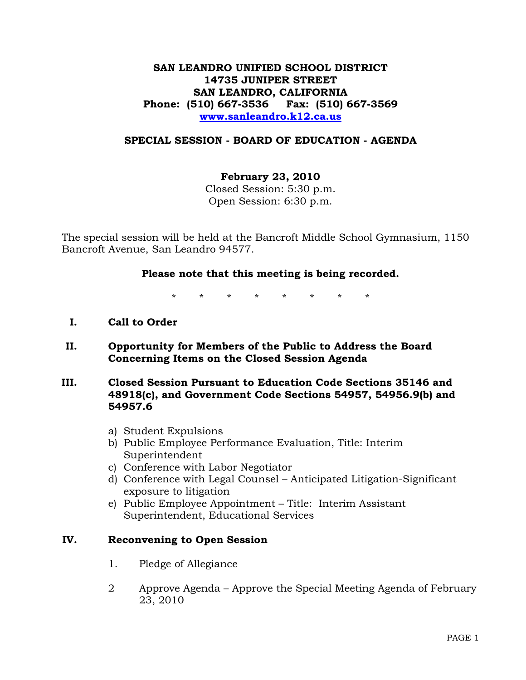## **SAN LEANDRO UNIFIED SCHOOL DISTRICT 14735 JUNIPER STREET SAN LEANDRO, CALIFORNIA Phone: (510) 667-3536 Fax: (510) 667-3569 [www.sanleandro.k12.ca.us](http://www.sanleandro.k12.ca.us/)**

### **SPECIAL SESSION - BOARD OF EDUCATION - AGENDA**

## **February 23, 2010**

Closed Session: 5:30 p.m. Open Session: 6:30 p.m.

The special session will be held at the Bancroft Middle School Gymnasium, 1150 Bancroft Avenue, San Leandro 94577.

#### **Please note that this meeting is being recorded.**

\* \* \* \* \* \* \* \*

- **I. Call to Order**
- **II. Opportunity for Members of the Public to Address the Board Concerning Items on the Closed Session Agenda**
- **III. Closed Session Pursuant to Education Code Sections 35146 and 48918(c), and Government Code Sections 54957, 54956.9(b) and 54957.6** 
	- a) Student Expulsions
	- b) Public Employee Performance Evaluation, Title: Interim Superintendent
	- c) Conference with Labor Negotiator
	- d) Conference with Legal Counsel Anticipated Litigation-Significant exposure to litigation
	- e) Public Employee Appointment Title: Interim Assistant Superintendent, Educational Services

### **IV. Reconvening to Open Session**

- 1. Pledge of Allegiance
- 2 Approve Agenda Approve the Special Meeting Agenda of February 23, 2010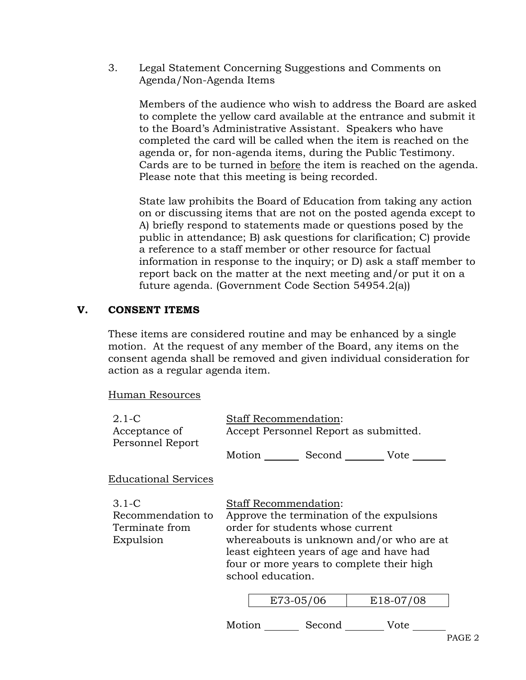3. Legal Statement Concerning Suggestions and Comments on Agenda/Non-Agenda Items

Members of the audience who wish to address the Board are asked to complete the yellow card available at the entrance and submit it to the Board's Administrative Assistant. Speakers who have completed the card will be called when the item is reached on the agenda or, for non-agenda items, during the Public Testimony. Cards are to be turned in before the item is reached on the agenda. Please note that this meeting is being recorded.

State law prohibits the Board of Education from taking any action on or discussing items that are not on the posted agenda except to A) briefly respond to statements made or questions posed by the public in attendance; B) ask questions for clarification; C) provide a reference to a staff member or other resource for factual information in response to the inquiry; or D) ask a staff member to report back on the matter at the next meeting and/or put it on a future agenda. (Government Code Section 54954.2(a))

# **V. CONSENT ITEMS**

These items are considered routine and may be enhanced by a single motion. At the request of any member of the Board, any items on the consent agenda shall be removed and given individual consideration for action as a regular agenda item.

Human Resources

| $2.1-C$<br>Acceptance of                                    | <b>Staff Recommendation:</b><br>Accept Personnel Report as submitted.                                                                                                                                                                                                   |  |           |           |
|-------------------------------------------------------------|-------------------------------------------------------------------------------------------------------------------------------------------------------------------------------------------------------------------------------------------------------------------------|--|-----------|-----------|
| Personnel Report                                            | Motion Second                                                                                                                                                                                                                                                           |  |           | Vote      |
| <b>Educational Services</b>                                 |                                                                                                                                                                                                                                                                         |  |           |           |
| $3.1-C$<br>Recommendation to<br>Terminate from<br>Expulsion | <b>Staff Recommendation:</b><br>Approve the termination of the expulsions<br>order for students whose current<br>whereabouts is unknown and/or who are at<br>least eighteen years of age and have had<br>four or more years to complete their high<br>school education. |  |           |           |
|                                                             |                                                                                                                                                                                                                                                                         |  | E73-05/06 | E18-07/08 |
|                                                             |                                                                                                                                                                                                                                                                         |  |           |           |

Motion Second Vote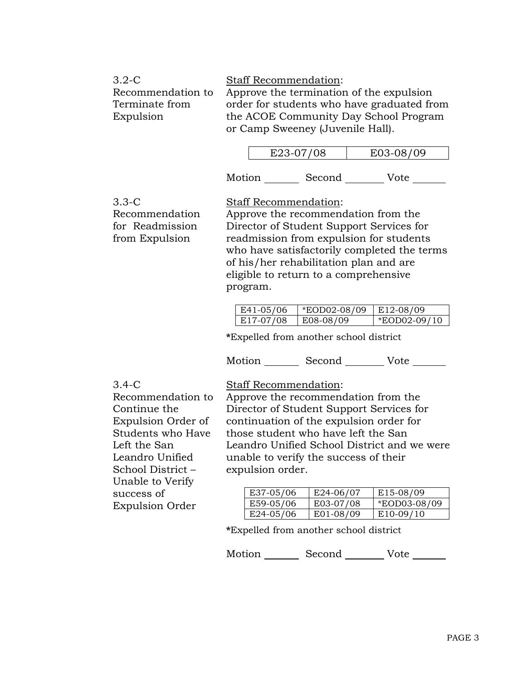| $3.2\text{-C}$    | <b>Staff Recommendation:</b>               |
|-------------------|--------------------------------------------|
| Recommendation to | Approve the termination of the expulsion   |
| Terminate from    | order for students who have graduated from |
| Expulsion         | the ACOE Community Day School Program      |
|                   | or Camp Sweeney (Juvenile Hall).           |

|        | E23-07/08 | E03-08/09 |  |
|--------|-----------|-----------|--|
| Motion | Second    | Vote      |  |

3.3-C Recommendation for Readmission from Expulsion

Staff Recommendation:

Approve the recommendation from the Director of Student Support Services for readmission from expulsion for students who have satisfactorily completed the terms of his/her rehabilitation plan and are eligible to return to a comprehensive program.

| E41-05/06 | *EOD02-08/09 E12-08/09 |                |
|-----------|------------------------|----------------|
| E17-07/08 | E08-08/09              | $*FOD02-09/10$ |

**\***Expelled from another school district

Motion Second Vote

3.4-C

Recommendation to

Expulsion Order of Students who Have

Continue the

Left the San Leandro Unified School District – Unable to Verify

success of

Expulsion Order

Staff Recommendation:

Approve the recommendation from the Director of Student Support Services for continuation of the expulsion order for those student who have left the San Leandro Unified School District and we were unable to verify the success of their expulsion order.

| E37-05/06 | $E$ 24-06/07 | E15-08/09    |
|-----------|--------------|--------------|
| E59-05/06 | E03-07/08    | *EOD03-08/09 |
| E24-05/06 | E01-08/09    | $E10-09/10$  |

**\***Expelled from another school district

Motion Second Vote \_\_\_\_\_\_

PAGE 3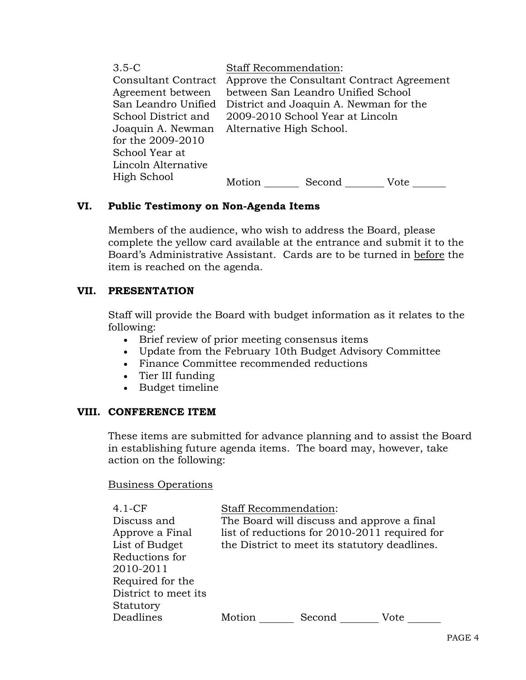| $3.5-C$<br><b>Consultant Contract</b><br>Agreement between<br>San Leandro Unified<br>School District and<br>Joaquin A. Newman<br>for the 2009-2010<br>School Year at | <b>Staff Recommendation:</b><br>Approve the Consultant Contract Agreement<br>between San Leandro Unified School<br>District and Joaquin A. Newman for the<br>2009-2010 School Year at Lincoln<br>Alternative High School. |
|----------------------------------------------------------------------------------------------------------------------------------------------------------------------|---------------------------------------------------------------------------------------------------------------------------------------------------------------------------------------------------------------------------|
| Lincoln Alternative<br>High School                                                                                                                                   | Motion<br>Second<br>Vote                                                                                                                                                                                                  |

## **VI. Public Testimony on Non-Agenda Items**

Members of the audience, who wish to address the Board, please complete the yellow card available at the entrance and submit it to the Board's Administrative Assistant. Cards are to be turned in before the item is reached on the agenda.

## **VII. PRESENTATION**

Staff will provide the Board with budget information as it relates to the following:

- Brief review of prior meeting consensus items
- Update from the February 10th Budget Advisory Committee
- Finance Committee recommended reductions
- Tier III funding
- Budget timeline

## **VIII. CONFERENCE ITEM**

These items are submitted for advance planning and to assist the Board in establishing future agenda items. The board may, however, take action on the following:

## Business Operations

| 4.1-CF               | <b>Staff Recommendation:</b>                  |        |      |  |
|----------------------|-----------------------------------------------|--------|------|--|
| Discuss and          | The Board will discuss and approve a final    |        |      |  |
| Approve a Final      | list of reductions for 2010-2011 required for |        |      |  |
| List of Budget       | the District to meet its statutory deadlines. |        |      |  |
| Reductions for       |                                               |        |      |  |
| 2010-2011            |                                               |        |      |  |
| Required for the     |                                               |        |      |  |
| District to meet its |                                               |        |      |  |
| Statutory            |                                               |        |      |  |
| Deadlines            | Motion                                        | Second | Vote |  |